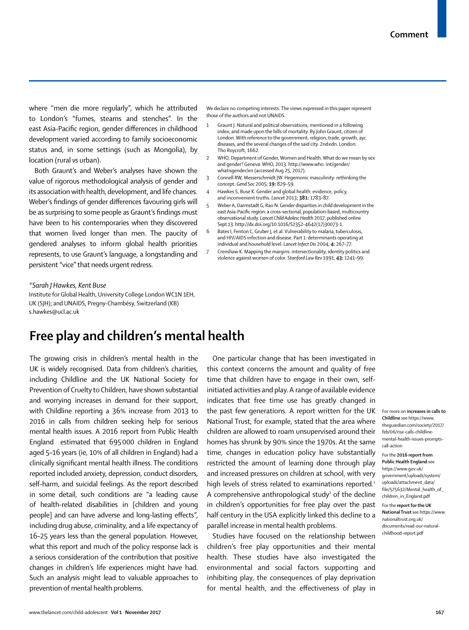where "men die more regularly", which he attributed to London's "fumes, steams and stenches". In the east Asia-Pacific region, gender differences in childhood development varied according to family socioeconomic status and, in some settings (such as Mongolia), by location (rural *vs* urban).

Both Graunt's and Weber's analyses have shown the value of rigorous methodological analysis of gender and its association with health, development, and life chances. Weber's findings of gender differences favouring girls will be as surprising to some people as Graunt's findings must have been to his contemporaries when they discovered that women lived longer than men. The paucity of gendered analyses to inform global health priorities represents, to use Graunt's language, a longstanding and persistent "vice" that needs urgent redress.

*\*Sarah J Hawkes, Kent Buse*

Institute for Global Health, University College London WC1N 1EH, UK (SJH); and UNAIDS, Pregny-Chambésy, Switzerland (KB) s.hawkes@ucl.ac.uk

We declare no competing interests. The views expressed in this paper represent those of the authors and not UNAIDS.

- Graunt J. Natural and political observations, mentioned in a following index, and made upon the bills of mortality. By John Graunt, citizen of London. With reference to the government, religion, trade, growth, ayr, diseases, and the several changes of the said city. 2ndedn. London: Tho Roycroft, 1662.
- WHO, Department of Gender, Women and Health. What do we mean by sex and gender? Geneva: WHO, 2013. http://www.who. int/gender/ whatisgender/en (accessed Aug 25, 2017).
- 3 Connell RW, Messerschmidt JW. Hegemonic masculinity: rethinking the concept. *Gend Soc* 2005; **19:** 829–59.
- Hawkes S, Buse K. Gender and global health: evidence, policy, and inconvenient truths. *Lancet* 2013; **381:** 1783–87.
- 5 Weber A, Darmstadt G, Rao N. Gender disparities in child development in the east Asia-Pacific region: a cross-sectional, population-based, multicountry observational study. *Lancet Child Adolesc Health* 2017; published online Sept 13. http://dx.doi.org/10.1016/S2352-4642(17)30073-1.
- 6 Bates I, Fenton C, Gruber J, et al. Vulnerability to malaria, tuberculosis, and HIV/AIDS infection and disease. Part 1: determinants operating at individual and household level. *Lancet Infect Dis* 2004; **4:** 267–77.
	- 7 Crenshaw K. Mapping the margins: intersectionality, identity politics and violence against women of color. *Stanford Law Rev* 1991; **43:** 1241–99.

## **Free play and children's mental health**

The growing crisis in children's mental health in the UK is widely recognised. Data from children's charities, including Childline and the UK National Society for Prevention of Cruelty to Children, have shown substantial and worrying increases in demand for their support, with [Childline reporting](https://www.theguardian.com/society/2017/feb/06/rise-calls-childline-mental-health-issues-prompts-call-action) a 36% increase from 2013 to 2016 in calls from children seeking help for serious mental health issues. A [2016 report](https://www.gov.uk/government/uploads/system/uploads/attachment_data/file/575632/Mental_health_of_children_in_England.pdf) from Public Health England estimated that 695000 children in England aged 5–16 years (ie, 10% of all children in England) had a clinically significant mental health illness. The conditions reported included anxiety, depression, conduct disorders, self-harm, and suicidal feelings. As the report described in some detail, such conditions are "a leading cause of health-related disabilities in [children and young people] and can have adverse and long-lasting effects", including drug abuse, criminality, and a life expectancy of 16–25 years less than the general population. However, what this report and much of the policy response lack is a serious consideration of the contribution that positive changes in children's life experiences might have had. Such an analysis might lead to valuable approaches to prevention of mental health problems.

One particular change that has been investigated in this context concerns the amount and quality of free time that children have to engage in their own, selfinitiated activities and play. A range of available evidence indicates that free time use has greatly changed in the past few generations. A report written for the [UK](https://www.nationaltrust.org.uk/documents/read-our-natural-childhood-report.pdf)  [National Trust,](https://www.nationaltrust.org.uk/documents/read-our-natural-childhood-report.pdf) for example, stated that the area where children are allowed to roam unsupervised around their homes has shrunk by 90% since the 1970s. At the same time, changes in education policy have substantially restricted the amount of learning done through play and increased pressures on children at school, with very high levels of stress related to examinations reported.<sup>1</sup> A comprehensive anthropological study<sup>2</sup> of the decline in children's opportunities for free play over the past half century in the USA explicitly linked this decline to a parallel increase in mental health problems.

Studies have focused on the relationship between children's free play opportunities and their mental health. These studies have also investigated the environmental and social factors supporting and inhibiting play, the consequences of play deprivation for mental health, and the effectiveness of play in For more on **increases in calls to Childline** see [https://www.](https://www.theguardian.com/society/2017/feb/06/rise-calls-childline-mental-health-issues-prompts-call-action) [theguardian.com/society/2017/](https://www.theguardian.com/society/2017/feb/06/rise-calls-childline-mental-health-issues-prompts-call-action) [feb/06/rise-calls-childline](https://www.theguardian.com/society/2017/feb/06/rise-calls-childline-mental-health-issues-prompts-call-action)[mental-health-issues-prompts](https://www.theguardian.com/society/2017/feb/06/rise-calls-childline-mental-health-issues-prompts-call-action)[call-action](https://www.theguardian.com/society/2017/feb/06/rise-calls-childline-mental-health-issues-prompts-call-action)

For the **2016 report from Public Health England** see [https://www.gov.uk/](https://www.gov.uk/government/uploads/system/uploads/attachment_data/file/575632/Mental_health_of_children_in_England.pdf) [government/uploads/system/](https://www.gov.uk/government/uploads/system/uploads/attachment_data/file/575632/Mental_health_of_children_in_England.pdf) [uploads/attachment\\_data/](https://www.gov.uk/government/uploads/system/uploads/attachment_data/file/575632/Mental_health_of_children_in_England.pdf) [file/575632/Mental\\_health\\_of\\_](https://www.gov.uk/government/uploads/system/uploads/attachment_data/file/575632/Mental_health_of_children_in_England.pdf) [children\\_in\\_England.pdf](https://www.gov.uk/government/uploads/system/uploads/attachment_data/file/575632/Mental_health_of_children_in_England.pdf) For the **report for the UK** 

**National Trust** see [https://www.](https://www.nationaltrust.org.uk/documents/read-our-natural-childhood-report.pdf) [nationaltrust.org.uk/](https://www.nationaltrust.org.uk/documents/read-our-natural-childhood-report.pdf) [documents/read-our-natural](https://www.nationaltrust.org.uk/documents/read-our-natural-childhood-report.pdf)[childhood-report.pdf](https://www.nationaltrust.org.uk/documents/read-our-natural-childhood-report.pdf)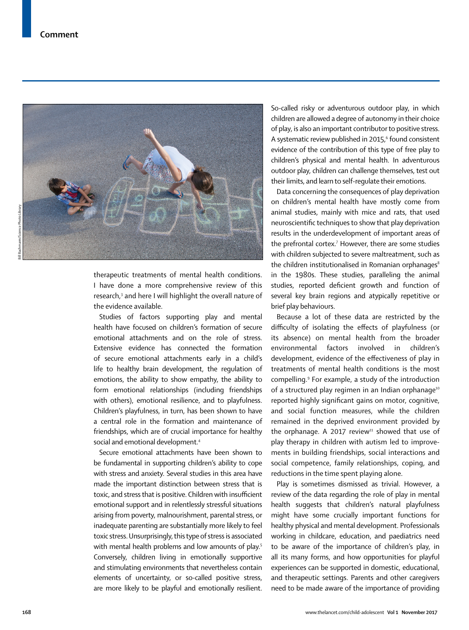

therapeutic treatments of mental health conditions. I have done a more comprehensive review of this research,<sup>3</sup> and here I will highlight the overall nature of the evidence available.

Studies of factors supporting play and mental health have focused on children's formation of secure emotional attachments and on the role of stress. Extensive evidence has connected the formation of secure emotional attachments early in a child's life to healthy brain development, the regulation of emotions, the ability to show empathy, the ability to form emotional relationships (including friendships with others), emotional resilience, and to playfulness. Children's playfulness, in turn, has been shown to have a central role in the formation and maintenance of friendships, which are of crucial importance for healthy social and emotional development.<sup>4</sup>

Secure emotional attachments have been shown to be fundamental in supporting children's ability to cope with stress and anxiety. Several studies in this area have made the important distinction between stress that is toxic, and stress that is positive. Children with insufficient emotional support and in relentlessly stressful situations arising from poverty, malnourishment, parental stress, or inadequate parenting are substantially more likely to feel toxic stress. Unsurprisingly, this type of stress is associated with mental health problems and low amounts of play.<sup>5</sup> Conversely, children living in emotionally supportive and stimulating environments that nevertheless contain elements of uncertainty, or so-called positive stress, are more likely to be playful and emotionally resilient.

So-called risky or adventurous outdoor play, in which children are allowed a degree of autonomy in their choice of play, is also an important contributor to positive stress. A systematic review published in 2015,<sup>6</sup> found consistent evidence of the contribution of this type of free play to children's physical and mental health. In adventurous outdoor play, children can challenge themselves, test out their limits, and learn to self-regulate their emotions.

Data concerning the consequences of play deprivation on children's mental health have mostly come from animal studies, mainly with mice and rats, that used neuroscientific techniques to show that play deprivation results in the underdevelopment of important areas of the prefrontal cortex.<sup>7</sup> However, there are some studies with children subjected to severe maltreatment, such as the children institutionalised in Romanian orphanages<sup>8</sup> in the 1980s. These studies, paralleling the animal studies, reported deficient growth and function of several key brain regions and atypically repetitive or brief play behaviours.

Because a lot of these data are restricted by the difficulty of isolating the effects of playfulness (or its absence) on mental health from the broader environmental factors involved in children's development, evidence of the effectiveness of play in treatments of mental health conditions is the most compelling.9 For example, a study of the introduction of a structured play regimen in an Indian orphanage $10$ reported highly significant gains on motor, cognitive, and social function measures, while the children remained in the deprived environment provided by the orphanage. A 2017 review $11$  showed that use of play therapy in children with autism led to improvements in building friendships, social interactions and social competence, family relationships, coping, and reductions in the time spent playing alone.

Play is sometimes dismissed as trivial. However, a review of the data regarding the role of play in mental health suggests that children's natural playfulness might have some crucially important functions for healthy physical and mental development. Professionals working in childcare, education, and paediatrics need to be aware of the importance of children's play, in all its many forms, and how opportunities for playful experiences can be supported in domestic, educational, and therapeutic settings. Parents and other caregivers need to be made aware of the importance of providing